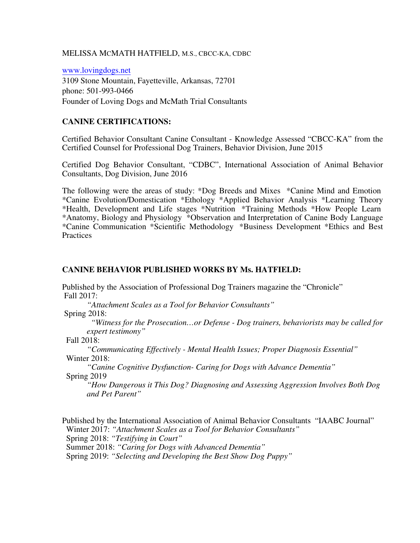#### MELISSA MCMATH HATFIELD, M.S., CBCC-KA, CDBC

www.lovingdogs.net 3109 Stone Mountain, Fayetteville, Arkansas, 72701 phone: 501-993-0466 Founder of Loving Dogs and McMath Trial Consultants

## **CANINE CERTIFICATIONS:**

Certified Behavior Consultant Canine Consultant - Knowledge Assessed "CBCC-KA" from the Certified Counsel for Professional Dog Trainers, Behavior Division, June 2015

Certified Dog Behavior Consultant, "CDBC", International Association of Animal Behavior Consultants, Dog Division, June 2016

The following were the areas of study: \*Dog Breeds and Mixes \*Canine Mind and Emotion \*Canine Evolution/Domestication \*Ethology \*Applied Behavior Analysis \*Learning Theory \*Health, Development and Life stages \*Nutrition \*Training Methods \*How People Learn \*Anatomy, Biology and Physiology \*Observation and Interpretation of Canine Body Language \*Canine Communication \*Scientific Methodology \*Business Development \*Ethics and Best **Practices** 

#### **CANINE BEHAVIOR PUBLISHED WORKS BY Ms. HATFIELD:**

Published by the Association of Professional Dog Trainers magazine the "Chronicle" Fall 2017:

*"Attachment Scales as a Tool for Behavior Consultants"*  Spring 2018:

> *"Witness for the Prosecution…or Defense - Dog trainers, behaviorists may be called for expert testimony"*

Fall 2018:

*"Communicating Effectively - Mental Health Issues; Proper Diagnosis Essential"* Winter 2018:

*"Canine Cognitive Dysfunction- Caring for Dogs with Advance Dementia"* Spring 2019

*"How Dangerous it This Dog? Diagnosing and Assessing Aggression Involves Both Dog and Pet Parent"*

Published by the International Association of Animal Behavior Consultants "IAABC Journal" Winter 2017: *"Attachment Scales as a Tool for Behavior Consultants"*  Spring 2018: *"Testifying in Court"* Summer 2018: *"Caring for Dogs with Advanced Dementia"*

Spring 2019: *"Selecting and Developing the Best Show Dog Puppy"*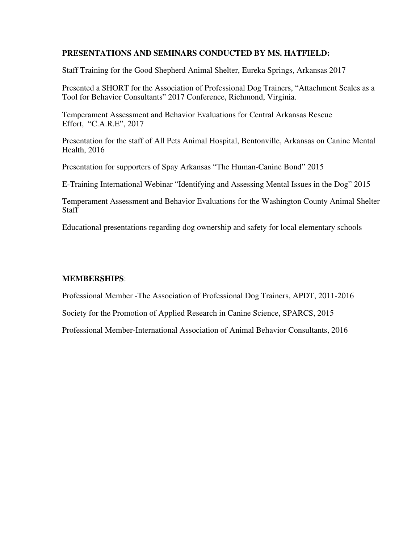## **PRESENTATIONS AND SEMINARS CONDUCTED BY MS. HATFIELD:**

Staff Training for the Good Shepherd Animal Shelter, Eureka Springs, Arkansas 2017

Presented a SHORT for the Association of Professional Dog Trainers, "Attachment Scales as a Tool for Behavior Consultants" 2017 Conference, Richmond, Virginia.

Temperament Assessment and Behavior Evaluations for Central Arkansas Rescue Effort, "C.A.R.E", 2017

Presentation for the staff of All Pets Animal Hospital, Bentonville, Arkansas on Canine Mental Health, 2016

Presentation for supporters of Spay Arkansas "The Human-Canine Bond" 2015

E-Training International Webinar "Identifying and Assessing Mental Issues in the Dog" 2015

Temperament Assessment and Behavior Evaluations for the Washington County Animal Shelter **Staff** 

Educational presentations regarding dog ownership and safety for local elementary schools

# **MEMBERSHIPS**:

Professional Member -The Association of Professional Dog Trainers, APDT, 2011-2016

Society for the Promotion of Applied Research in Canine Science, SPARCS, 2015

Professional Member-International Association of Animal Behavior Consultants, 2016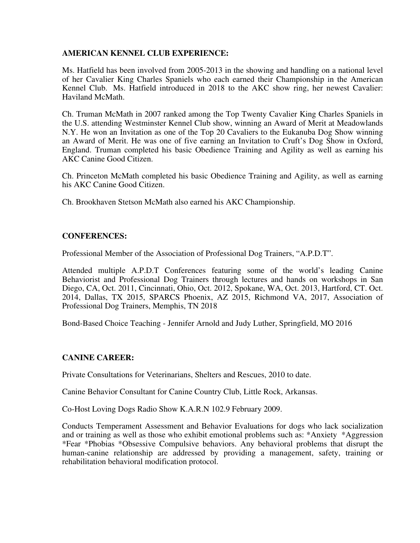## **AMERICAN KENNEL CLUB EXPERIENCE:**

Ms. Hatfield has been involved from 2005-2013 in the showing and handling on a national level of her Cavalier King Charles Spaniels who each earned their Championship in the American Kennel Club. Ms. Hatfield introduced in 2018 to the AKC show ring, her newest Cavalier: Haviland McMath.

Ch. Truman McMath in 2007 ranked among the Top Twenty Cavalier King Charles Spaniels in the U.S. attending Westminster Kennel Club show, winning an Award of Merit at Meadowlands N.Y. He won an Invitation as one of the Top 20 Cavaliers to the Eukanuba Dog Show winning an Award of Merit. He was one of five earning an Invitation to Cruft's Dog Show in Oxford, England. Truman completed his basic Obedience Training and Agility as well as earning his AKC Canine Good Citizen.

Ch. Princeton McMath completed his basic Obedience Training and Agility, as well as earning his AKC Canine Good Citizen.

Ch. Brookhaven Stetson McMath also earned his AKC Championship.

## **CONFERENCES:**

Professional Member of the Association of Professional Dog Trainers, "A.P.D.T".

Attended multiple A.P.D.T Conferences featuring some of the world's leading Canine Behaviorist and Professional Dog Trainers through lectures and hands on workshops in San Diego, CA, Oct. 2011, Cincinnati, Ohio, Oct. 2012, Spokane, WA, Oct. 2013, Hartford, CT. Oct. 2014, Dallas, TX 2015, SPARCS Phoenix, AZ 2015, Richmond VA, 2017, Association of Professional Dog Trainers, Memphis, TN 2018

Bond-Based Choice Teaching - Jennifer Arnold and Judy Luther, Springfield, MO 2016

## **CANINE CAREER:**

Private Consultations for Veterinarians, Shelters and Rescues, 2010 to date.

Canine Behavior Consultant for Canine Country Club, Little Rock, Arkansas.

Co-Host Loving Dogs Radio Show K.A.R.N 102.9 February 2009.

Conducts Temperament Assessment and Behavior Evaluations for dogs who lack socialization and or training as well as those who exhibit emotional problems such as: \*Anxiety \*Aggression \*Fear \*Phobias \*Obsessive Compulsive behaviors. Any behavioral problems that disrupt the human-canine relationship are addressed by providing a management, safety, training or rehabilitation behavioral modification protocol.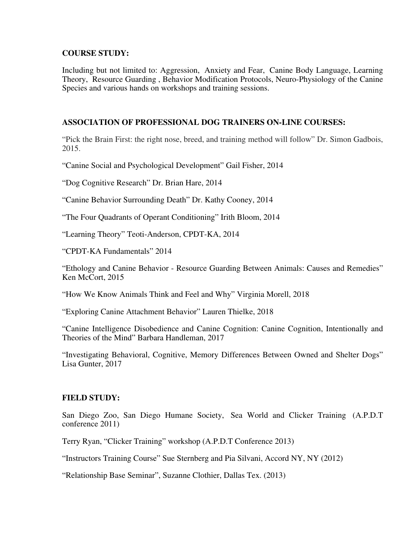## **COURSE STUDY:**

Including but not limited to: Aggression, Anxiety and Fear, Canine Body Language, Learning Theory, Resource Guarding , Behavior Modification Protocols, Neuro-Physiology of the Canine Species and various hands on workshops and training sessions.

#### **ASSOCIATION OF PROFESSIONAL DOG TRAINERS ON-LINE COURSES:**

"Pick the Brain First: the right nose, breed, and training method will follow" Dr. Simon Gadbois, 2015.

"Canine Social and Psychological Development" Gail Fisher, 2014

"Dog Cognitive Research" Dr. Brian Hare, 2014

"Canine Behavior Surrounding Death" Dr. Kathy Cooney, 2014

"The Four Quadrants of Operant Conditioning" Irith Bloom, 2014

"Learning Theory" Teoti-Anderson, CPDT-KA, 2014

"CPDT-KA Fundamentals" 2014

"Ethology and Canine Behavior - Resource Guarding Between Animals: Causes and Remedies" Ken McCort, 2015

"How We Know Animals Think and Feel and Why" Virginia Morell, 2018

"Exploring Canine Attachment Behavior" Lauren Thielke, 2018

"Canine Intelligence Disobedience and Canine Cognition: Canine Cognition, Intentionally and Theories of the Mind" Barbara Handleman, 2017

"Investigating Behavioral, Cognitive, Memory Differences Between Owned and Shelter Dogs" Lisa Gunter, 2017

## **FIELD STUDY:**

San Diego Zoo, San Diego Humane Society, Sea World and Clicker Training (A.P.D.T conference 2011)

Terry Ryan, "Clicker Training" workshop (A.P.D.T Conference 2013)

"Instructors Training Course" Sue Sternberg and Pia Silvani, Accord NY, NY (2012)

"Relationship Base Seminar", Suzanne Clothier, Dallas Tex. (2013)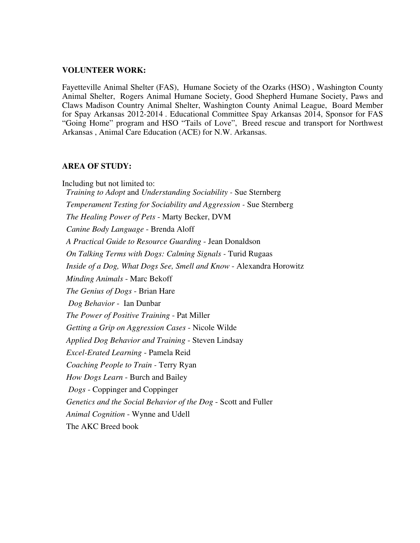#### **VOLUNTEER WORK:**

Fayetteville Animal Shelter (FAS), Humane Society of the Ozarks (HSO) , Washington County Animal Shelter, Rogers Animal Humane Society, Good Shepherd Humane Society, Paws and Claws Madison Country Animal Shelter, Washington County Animal League, Board Member for Spay Arkansas 2012-2014 . Educational Committee Spay Arkansas 2014, Sponsor for FAS "Going Home" program and HSO "Tails of Love", Breed rescue and transport for Northwest Arkansas , Animal Care Education (ACE) for N.W. Arkansas.

#### **AREA OF STUDY:**

Including but not limited to:  *Training to Adopt* and *Understanding Sociability -* Sue Sternberg *Temperament Testing for Sociability and Aggression -* Sue Sternberg  *The Healing Power of Pets* - Marty Becker, DVM  *Canine Body Language* - Brenda Aloff *A Practical Guide to Resource Guarding* - Jean Donaldson *On Talking Terms with Dogs: Calming Signals -* Turid Rugaas *Inside of a Dog, What Dogs See, Smell and Know* - Alexandra Horowitz *Minding Animals* - Marc Bekoff *The Genius of Dogs* - Brian Hare *Dog Behavior* - Ian Dunbar  *The Power of Positive Training* - Pat Miller  *Getting a Grip on Aggression Cases* - Nicole Wilde *Applied Dog Behavior and Training* - Steven Lindsay  *Excel-Erated Learning* - Pamela Reid  *Coaching People to Train -* Terry Ryan  *How Dogs Learn* - Burch and Bailey  *Dogs* - Coppinger and Coppinger *Genetics and the Social Behavior of the Dog* - Scott and Fuller *Animal Cognition* - Wynne and Udell The AKC Breed book